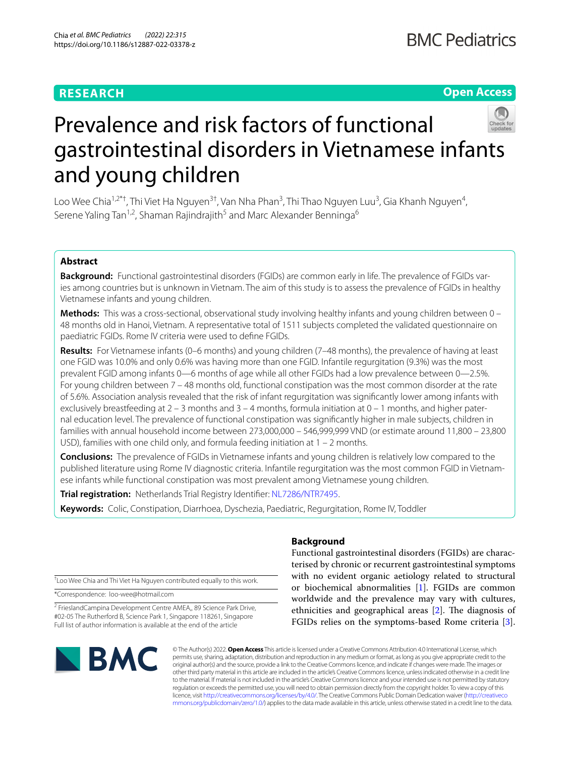# **RESEARCH**

# **Open Access**



# Prevalence and risk factors of functional gastrointestinal disorders in Vietnamese infants and young children

Loo Wee Chia<sup>1,2\*†</sup>, Thi Viet Ha Nguyen<sup>3†</sup>, Van Nha Phan<sup>3</sup>, Thi Thao Nguyen Luu<sup>3</sup>, Gia Khanh Nguyen<sup>4</sup>, Serene Yaling Tan<sup>1,2</sup>, Shaman Rajindrajith<sup>5</sup> and Marc Alexander Benninga<sup>6</sup>

## **Abstract**

**Background:** Functional gastrointestinal disorders (FGIDs) are common early in life. The prevalence of FGIDs varies among countries but is unknown in Vietnam. The aim of this study is to assess the prevalence of FGIDs in healthy Vietnamese infants and young children.

**Methods:** This was a cross-sectional, observational study involving healthy infants and young children between 0 – 48 months old in Hanoi, Vietnam. A representative total of 1511 subjects completed the validated questionnaire on paediatric FGIDs. Rome IV criteria were used to defne FGIDs.

**Results:** For Vietnamese infants (0–6 months) and young children (7–48 months), the prevalence of having at least one FGID was 10.0% and only 0.6% was having more than one FGID. Infantile regurgitation (9.3%) was the most prevalent FGID among infants 0—6 months of age while all other FGIDs had a low prevalence between 0—2.5%. For young children between 7 – 48 months old, functional constipation was the most common disorder at the rate of 5.6%. Association analysis revealed that the risk of infant regurgitation was signifcantly lower among infants with exclusively breastfeeding at  $2 - 3$  months and  $3 - 4$  months, formula initiation at  $0 - 1$  months, and higher paternal education level. The prevalence of functional constipation was signifcantly higher in male subjects, children in families with annual household income between 273,000,000 – 546,999,999 VND (or estimate around 11,800 – 23,800 USD), families with one child only, and formula feeding initiation at 1 – 2 months.

**Conclusions:** The prevalence of FGIDs in Vietnamese infants and young children is relatively low compared to the published literature using Rome IV diagnostic criteria. Infantile regurgitation was the most common FGID in Vietnamese infants while functional constipation was most prevalent among Vietnamese young children.

**Trial registration:** Netherlands Trial Registry Identifier: [NL7286/NTR7495.](https://www.trialregister.nl/trial/7286)

**Keywords:** Colic, Constipation, Diarrhoea, Dyschezia, Paediatric, Regurgitation, Rome IV, Toddler

† Loo Wee Chia and Thi Viet Ha Nguyen contributed equally to this work.

\*Correspondence: loo-wee@hotmail.com

<sup>2</sup> FrieslandCampina Development Centre AMEA,, 89 Science Park Drive, #02-05 The Rutherford B, Science Park 1, Singapore 118261, Singapore Full list of author information is available at the end of the article

# **BMC**

### **Background**

Functional gastrointestinal disorders (FGIDs) are characterised by chronic or recurrent gastrointestinal symptoms with no evident organic aetiology related to structural or biochemical abnormalities [\[1](#page-5-0)]. FGIDs are common worldwide and the prevalence may vary with cultures, ethnicities and geographical areas  $[2]$  $[2]$ . The diagnosis of FGIDs relies on the symptoms-based Rome criteria [\[3](#page-5-2)].

© The Author(s) 2022. **Open Access** This article is licensed under a Creative Commons Attribution 4.0 International License, which permits use, sharing, adaptation, distribution and reproduction in any medium or format, as long as you give appropriate credit to the original author(s) and the source, provide a link to the Creative Commons licence, and indicate if changes were made. The images or other third party material in this article are included in the article's Creative Commons licence, unless indicated otherwise in a credit line to the material. If material is not included in the article's Creative Commons licence and your intended use is not permitted by statutory regulation or exceeds the permitted use, you will need to obtain permission directly from the copyright holder. To view a copy of this licence, visit [http://creativecommons.org/licenses/by/4.0/.](http://creativecommons.org/licenses/by/4.0/) The Creative Commons Public Domain Dedication waiver ([http://creativeco](http://creativecommons.org/publicdomain/zero/1.0/) [mmons.org/publicdomain/zero/1.0/](http://creativecommons.org/publicdomain/zero/1.0/)) applies to the data made available in this article, unless otherwise stated in a credit line to the data.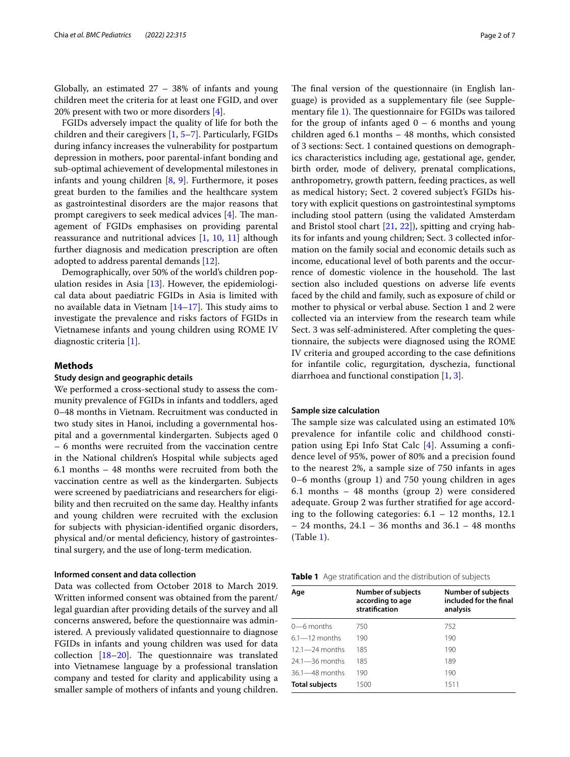Globally, an estimated 27 – 38% of infants and young children meet the criteria for at least one FGID, and over 20% present with two or more disorders [\[4\]](#page-5-3).

FGIDs adversely impact the quality of life for both the children and their caregivers [\[1](#page-5-0), [5–](#page-6-0)[7](#page-6-1)]. Particularly, FGIDs during infancy increases the vulnerability for postpartum depression in mothers, poor parental-infant bonding and sub-optimal achievement of developmental milestones in infants and young children [[8,](#page-6-2) [9](#page-6-3)]. Furthermore, it poses great burden to the families and the healthcare system as gastrointestinal disorders are the major reasons that prompt caregivers to seek medical advices  $[4]$  $[4]$ . The management of FGIDs emphasises on providing parental reassurance and nutritional advices [\[1](#page-5-0), [10,](#page-6-4) [11\]](#page-6-5) although further diagnosis and medication prescription are often adopted to address parental demands [\[12](#page-6-6)].

Demographically, over 50% of the world's children population resides in Asia [[13](#page-6-7)]. However, the epidemiological data about paediatric FGIDs in Asia is limited with no available data in Vietnam  $[14-17]$  $[14-17]$  $[14-17]$ . This study aims to investigate the prevalence and risks factors of FGIDs in Vietnamese infants and young children using ROME IV diagnostic criteria [\[1\]](#page-5-0).

#### **Methods**

#### **Study design and geographic details**

We performed a cross-sectional study to assess the community prevalence of FGIDs in infants and toddlers, aged 0–48 months in Vietnam. Recruitment was conducted in two study sites in Hanoi, including a governmental hospital and a governmental kindergarten. Subjects aged 0 – 6 months were recruited from the vaccination centre in the National children's Hospital while subjects aged 6.1 months – 48 months were recruited from both the vaccination centre as well as the kindergarten. Subjects were screened by paediatricians and researchers for eligibility and then recruited on the same day. Healthy infants and young children were recruited with the exclusion for subjects with physician-identifed organic disorders, physical and/or mental defciency, history of gastrointestinal surgery, and the use of long-term medication.

#### **Informed consent and data collection**

Data was collected from October 2018 to March 2019. Written informed consent was obtained from the parent/ legal guardian after providing details of the survey and all concerns answered, before the questionnaire was administered. A previously validated questionnaire to diagnose FGIDs in infants and young children was used for data collection  $[18-20]$  $[18-20]$ . The questionnaire was translated into Vietnamese language by a professional translation company and tested for clarity and applicability using a smaller sample of mothers of infants and young children. The final version of the questionnaire (in English language) is provided as a supplementary fle (see Supple-mentary file [1](#page-5-4)). The questionnaire for FGIDs was tailored for the group of infants aged  $0 - 6$  months and young children aged 6.1 months – 48 months, which consisted of 3 sections: Sect. 1 contained questions on demographics characteristics including age, gestational age, gender, birth order, mode of delivery, prenatal complications, anthropometry, growth pattern, feeding practices, as well as medical history; Sect. 2 covered subject's FGIDs history with explicit questions on gastrointestinal symptoms including stool pattern (using the validated Amsterdam and Bristol stool chart [\[21,](#page-6-12) [22\]](#page-6-13)), spitting and crying habits for infants and young children; Sect. 3 collected information on the family social and economic details such as income, educational level of both parents and the occurrence of domestic violence in the household. The last section also included questions on adverse life events faced by the child and family, such as exposure of child or mother to physical or verbal abuse. Section 1 and 2 were collected via an interview from the research team while Sect. 3 was self-administered. After completing the questionnaire, the subjects were diagnosed using the ROME IV criteria and grouped according to the case defnitions for infantile colic, regurgitation, dyschezia, functional diarrhoea and functional constipation [[1,](#page-5-0) [3\]](#page-5-2).

#### **Sample size calculation**

The sample size was calculated using an estimated 10% prevalence for infantile colic and childhood constipation using Epi Info Stat Calc [[4\]](#page-5-3). Assuming a confdence level of 95%, power of 80% and a precision found to the nearest 2%, a sample size of 750 infants in ages 0–6 months (group 1) and 750 young children in ages 6.1 months – 48 months (group 2) were considered adequate. Group 2 was further stratifed for age according to the following categories:  $6.1 - 12$  months, 12.1 – 24 months, 24.1 – 36 months and 36.1 – 48 months (Table [1\)](#page-1-0).

<span id="page-1-0"></span>

| Age                   | <b>Number of subjects</b><br>according to age<br>stratification | <b>Number of subjects</b><br>included for the final<br>analysis |
|-----------------------|-----------------------------------------------------------------|-----------------------------------------------------------------|
| $0$ —6 months         | 750                                                             | 752                                                             |
| $61 - 12$ months      | 190                                                             | 190                                                             |
| $121 - 24$ months     | 185                                                             | 190                                                             |
| $24.1 - 36$ months    | 185                                                             | 189                                                             |
| $36.1 - 48$ months    | 190                                                             | 190                                                             |
| <b>Total subjects</b> | 1500                                                            | 1511                                                            |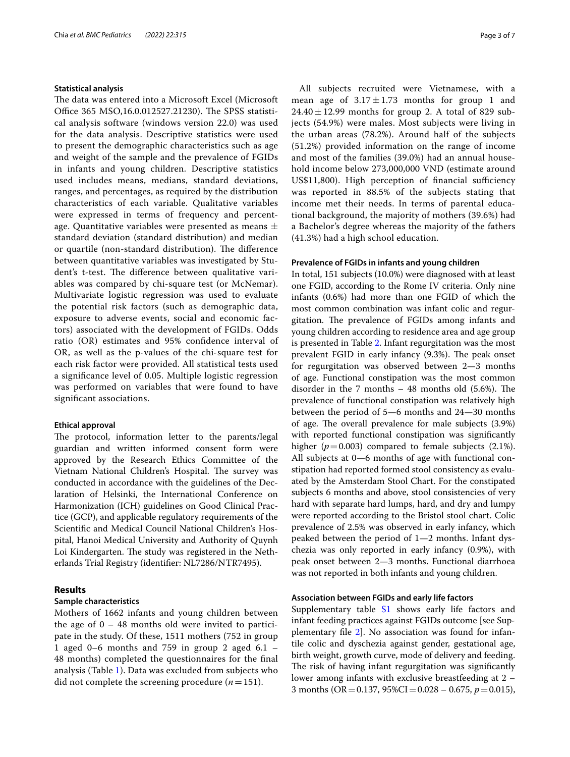#### **Statistical analysis**

The data was entered into a Microsoft Excel (Microsoft Office 365 MSO, 16.0.012527.21230). The SPSS statistical analysis software (windows version 22.0) was used for the data analysis. Descriptive statistics were used to present the demographic characteristics such as age and weight of the sample and the prevalence of FGIDs in infants and young children. Descriptive statistics used includes means, medians, standard deviations, ranges, and percentages, as required by the distribution characteristics of each variable. Qualitative variables were expressed in terms of frequency and percentage. Quantitative variables were presented as means  $\pm$ standard deviation (standard distribution) and median or quartile (non-standard distribution). The difference between quantitative variables was investigated by Student's t-test. The difference between qualitative variables was compared by chi-square test (or McNemar). Multivariate logistic regression was used to evaluate the potential risk factors (such as demographic data, exposure to adverse events, social and economic factors) associated with the development of FGIDs. Odds ratio (OR) estimates and 95% confdence interval of OR, as well as the p-values of the chi-square test for each risk factor were provided. All statistical tests used a signifcance level of 0.05. Multiple logistic regression was performed on variables that were found to have signifcant associations.

#### **Ethical approval**

The protocol, information letter to the parents/legal guardian and written informed consent form were approved by the Research Ethics Committee of the Vietnam National Children's Hospital. The survey was conducted in accordance with the guidelines of the Declaration of Helsinki, the International Conference on Harmonization (ICH) guidelines on Good Clinical Practice (GCP), and applicable regulatory requirements of the Scientifc and Medical Council National Children's Hospital, Hanoi Medical University and Authority of Quynh Loi Kindergarten. The study was registered in the Netherlands Trial Registry (identifer: NL7286/NTR7495).

#### **Results**

#### **Sample characteristics**

Mothers of 1662 infants and young children between the age of  $0 - 48$  months old were invited to participate in the study. Of these, 1511 mothers (752 in group 1 aged 0–6 months and 759 in group 2 aged 6.1 – 48 months) completed the questionnaires for the fnal analysis (Table [1](#page-1-0)). Data was excluded from subjects who did not complete the screening procedure  $(n=151)$ .

All subjects recruited were Vietnamese, with a mean age of  $3.17 \pm 1.73$  months for group 1 and  $24.40 \pm 12.99$  months for group 2. A total of 829 subjects (54.9%) were males. Most subjects were living in the urban areas (78.2%). Around half of the subjects (51.2%) provided information on the range of income and most of the families (39.0%) had an annual household income below 273,000,000 VND (estimate around US\$11,800). High perception of financial sufficiency was reported in 88.5% of the subjects stating that income met their needs. In terms of parental educational background, the majority of mothers (39.6%) had a Bachelor's degree whereas the majority of the fathers (41.3%) had a high school education.

#### **Prevalence of FGIDs in infants and young children**

In total, 151 subjects (10.0%) were diagnosed with at least one FGID, according to the Rome IV criteria. Only nine infants (0.6%) had more than one FGID of which the most common combination was infant colic and regurgitation. The prevalence of FGIDs among infants and young children according to residence area and age group is presented in Table [2.](#page-3-0) Infant regurgitation was the most prevalent FGID in early infancy (9.3%). The peak onset for regurgitation was observed between 2—3 months of age. Functional constipation was the most common disorder in the 7 months  $-48$  months old (5.6%). The prevalence of functional constipation was relatively high between the period of 5—6 months and 24—30 months of age. The overall prevalence for male subjects (3.9%) with reported functional constipation was significantly higher  $(p=0.003)$  compared to female subjects  $(2.1\%)$ . All subjects at 0—6 months of age with functional constipation had reported formed stool consistency as evaluated by the Amsterdam Stool Chart. For the constipated subjects 6 months and above, stool consistencies of very hard with separate hard lumps, hard, and dry and lumpy were reported according to the Bristol stool chart. Colic prevalence of 2.5% was observed in early infancy, which peaked between the period of 1—2 months. Infant dyschezia was only reported in early infancy (0.9%), with peak onset between 2—3 months. Functional diarrhoea was not reported in both infants and young children.

#### **Association between FGIDs and early life factors**

Supplementary table [S1](#page-5-5) shows early life factors and infant feeding practices against FGIDs outcome [see Supplementary fle [2](#page-5-5)]. No association was found for infantile colic and dyschezia against gender, gestational age, birth weight, growth curve, mode of delivery and feeding. The risk of having infant regurgitation was significantly lower among infants with exclusive breastfeeding at 2 – 3 months (OR=0.137, 95%CI=0.028 – 0.675, *p*=0.015),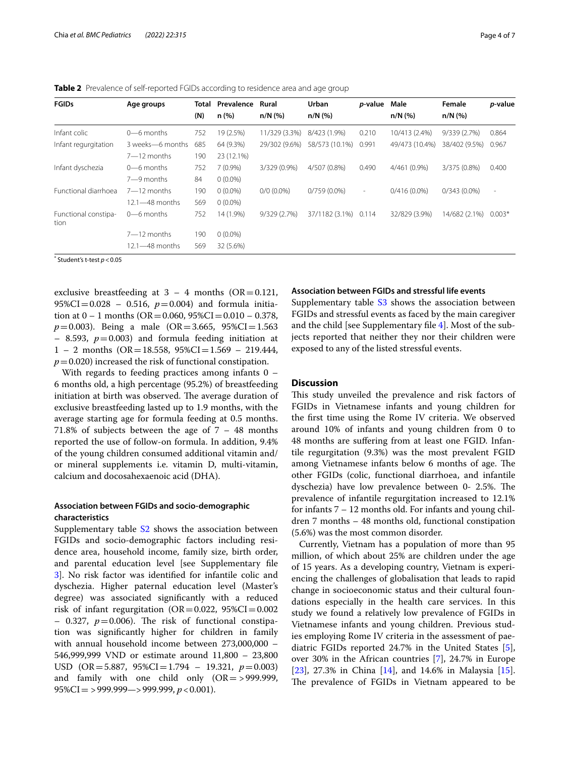| <b>FGIDs</b>                 | Age groups         | Total<br>(N) | Prevalence<br>n (%) | Rural<br>$n/N$ (%) | Urban<br>n/N (%)     | <i>p</i> -value          | Male<br>$n/N$ (%) | Female<br>$n/N$ (%) | p-value                  |
|------------------------------|--------------------|--------------|---------------------|--------------------|----------------------|--------------------------|-------------------|---------------------|--------------------------|
| Infant colic                 | $0$ —6 months      | 752          | 19 (2.5%)           | 11/329 (3.3%)      | 8/423 (1.9%)         | 0.210                    | 10/413 (2.4%)     | 9/339(2.7%)         | 0.864                    |
| Infant regurgitation         | 3 weeks-6 months   | 685          | 64 (9.3%)           | 29/302 (9.6%)      | 58/573 (10.1%)       | 0.991                    | 49/473 (10.4%)    | 38/402 (9.5%)       | 0.967                    |
|                              | $7 - 12$ months    | 190          | 23 (12.1%)          |                    |                      |                          |                   |                     |                          |
| Infant dyschezia             | $0$ —6 months      | 752          | $7(0.9\%)$          | 3/329 (0.9%)       | 4/507 (0.8%)         | 0.490                    | 4/461 (0.9%)      | 3/375 (0.8%)        | 0.400                    |
|                              | $7 - 9$ months     | 84           | $0(0.0\%)$          |                    |                      |                          |                   |                     |                          |
| Functional diarrhoea         | $7 - 12$ months    | 190          | $0(0.0\%)$          | $0/0$ (0.0%)       | $0/759(0.0\%)$       | $\overline{\phantom{a}}$ | $0/416(0.0\%)$    | $0/343(0.0\%)$      | $\overline{\phantom{a}}$ |
|                              | 12.1—48 months     | 569          | $0(0.0\%)$          |                    |                      |                          |                   |                     |                          |
| Functional constipa-<br>tion | $0$ —6 months      | 752          | 14 (1.9%)           | 9/329 (2.7%)       | 37/1182 (3.1%) 0.114 |                          | 32/829 (3.9%)     | 14/682 (2.1%)       | $0.003*$                 |
|                              | $7 - 12$ months    | 190          | $0(0.0\%)$          |                    |                      |                          |                   |                     |                          |
|                              | $12.1 - 48$ months | 569          | 32 (5.6%)           |                    |                      |                          |                   |                     |                          |

<span id="page-3-0"></span>**Table 2** Prevalence of self-reported FGIDs according to residence area and age group

\* Student's t-test *p*<0.05

exclusive breastfeeding at  $3 - 4$  months (OR=0.121, 95%CI=0.028 – 0.516,  $p=0.004$ ) and formula initiation at  $0 - 1$  months (OR = 0.060, 95%CI = 0.010 – 0.378,  $p=0.003$ ). Being a male (OR=3.665, 95%CI=1.563  $-$  8.593,  $p=0.003$ ) and formula feeding initiation at  $1 - 2$  months (OR = 18.558, 95%CI = 1.569 – 219.444,  $p=0.020$ ) increased the risk of functional constipation.

With regards to feeding practices among infants 0 – 6 months old, a high percentage (95.2%) of breastfeeding initiation at birth was observed. The average duration of exclusive breastfeeding lasted up to 1.9 months, with the average starting age for formula feeding at 0.5 months. 71.8% of subjects between the age of 7 – 48 months reported the use of follow-on formula. In addition, 9.4% of the young children consumed additional vitamin and/ or mineral supplements i.e. vitamin D, multi-vitamin, calcium and docosahexaenoic acid (DHA).

#### **Association between FGIDs and socio‑demographic characteristics**

Supplementary table  $S2$  shows the association between FGIDs and socio-demographic factors including residence area, household income, family size, birth order, and parental education level [see Supplementary fle [3\]](#page-5-6). No risk factor was identifed for infantile colic and dyschezia. Higher paternal education level (Master's degree) was associated signifcantly with a reduced risk of infant regurgitation  $(OR = 0.022, 95\% CI = 0.002)$  $-$  0.327,  $p=0.006$ ). The risk of functional constipation was signifcantly higher for children in family with annual household income between 273,000,000 – 546,999,999 VND or estimate around 11,800 – 23,800 USD (OR=5.887, 95%CI=1.794 – 19.321, *p*=0.003) and family with one child only  $(OR = > 999.999,$ 95%CI= >999.999—>999.999, *p*<0.001).

#### **Association between FGIDs and stressful life events**

Supplementary table  $S3$  shows the association between FGIDs and stressful events as faced by the main caregiver and the child [see Supplementary fle [4](#page-5-7)]. Most of the subjects reported that neither they nor their children were exposed to any of the listed stressful events.

#### **Discussion**

This study unveiled the prevalence and risk factors of FGIDs in Vietnamese infants and young children for the frst time using the Rome IV criteria. We observed around 10% of infants and young children from 0 to 48 months are sufering from at least one FGID. Infantile regurgitation (9.3%) was the most prevalent FGID among Vietnamese infants below 6 months of age. The other FGIDs (colic, functional diarrhoea, and infantile dyschezia) have low prevalence between 0- 2.5%. The prevalence of infantile regurgitation increased to 12.1% for infants 7 – 12 months old. For infants and young children 7 months – 48 months old, functional constipation (5.6%) was the most common disorder.

Currently, Vietnam has a population of more than 95 million, of which about 25% are children under the age of 15 years. As a developing country, Vietnam is experiencing the challenges of globalisation that leads to rapid change in socioeconomic status and their cultural foundations especially in the health care services. In this study we found a relatively low prevalence of FGIDs in Vietnamese infants and young children. Previous studies employing Rome IV criteria in the assessment of paediatric FGIDs reported 24.7% in the United States [\[5](#page-6-0)], over 30% in the African countries [[7](#page-6-1)], 24.7% in Europe [[23\]](#page-6-14), 27.3% in China [\[14](#page-6-8)], and 14.6% in Malaysia [\[15](#page-6-15)]. The prevalence of FGIDs in Vietnam appeared to be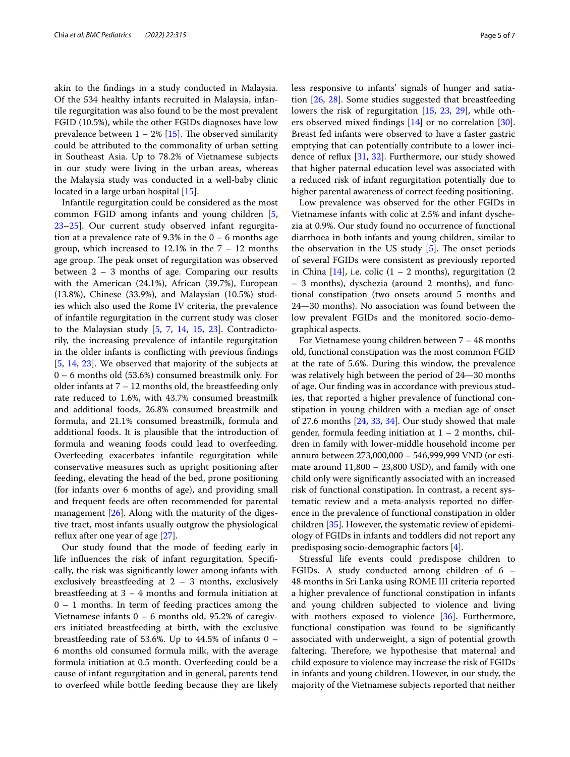akin to the fndings in a study conducted in Malaysia. Of the 534 healthy infants recruited in Malaysia, infantile regurgitation was also found to be the most prevalent FGID (10.5%), while the other FGIDs diagnoses have low prevalence between  $1 - 2\%$  [\[15](#page-6-15)]. The observed similarity could be attributed to the commonality of urban setting in Southeast Asia. Up to 78.2% of Vietnamese subjects in our study were living in the urban areas, whereas the Malaysia study was conducted in a well-baby clinic located in a large urban hospital [[15\]](#page-6-15).

Infantile regurgitation could be considered as the most common FGID among infants and young children [\[5](#page-6-0), [23–](#page-6-14)[25](#page-6-16)]. Our current study observed infant regurgitation at a prevalence rate of 9.3% in the  $0 - 6$  months age group, which increased to  $12.1\%$  in the  $7 - 12$  months age group. The peak onset of regurgitation was observed between 2 – 3 months of age. Comparing our results with the American (24.1%), African (39.7%), European (13.8%), Chinese (33.9%), and Malaysian (10.5%) studies which also used the Rome IV criteria, the prevalence of infantile regurgitation in the current study was closer to the Malaysian study [\[5](#page-6-0), [7,](#page-6-1) [14,](#page-6-8) [15](#page-6-15), [23\]](#page-6-14). Contradictorily, the increasing prevalence of infantile regurgitation in the older infants is conficting with previous fndings [[5,](#page-6-0) [14](#page-6-8), [23](#page-6-14)]. We observed that majority of the subjects at 0 – 6 months old (53.6%) consumed breastmilk only. For older infants at 7 – 12 months old, the breastfeeding only rate reduced to 1.6%, with 43.7% consumed breastmilk and additional foods, 26.8% consumed breastmilk and formula, and 21.1% consumed breastmilk, formula and additional foods. It is plausible that the introduction of formula and weaning foods could lead to overfeeding. Overfeeding exacerbates infantile regurgitation while conservative measures such as upright positioning after feeding, elevating the head of the bed, prone positioning (for infants over 6 months of age), and providing small and frequent feeds are often recommended for parental management [\[26\]](#page-6-17). Along with the maturity of the digestive tract, most infants usually outgrow the physiological refux after one year of age [\[27](#page-6-18)].

Our study found that the mode of feeding early in life infuences the risk of infant regurgitation. Specifcally, the risk was signifcantly lower among infants with exclusively breastfeeding at  $2 - 3$  months, exclusively breastfeeding at  $3 - 4$  months and formula initiation at  $0 - 1$  months. In term of feeding practices among the Vietnamese infants  $0 - 6$  months old, 95.2% of caregivers initiated breastfeeding at birth, with the exclusive breastfeeding rate of 53.6%. Up to 44.5% of infants 0 – 6 months old consumed formula milk, with the average formula initiation at 0.5 month. Overfeeding could be a cause of infant regurgitation and in general, parents tend to overfeed while bottle feeding because they are likely less responsive to infants' signals of hunger and satiation [[26,](#page-6-17) [28](#page-6-19)]. Some studies suggested that breastfeeding lowers the risk of regurgitation [\[15,](#page-6-15) [23,](#page-6-14) [29\]](#page-6-20), while others observed mixed findings  $[14]$  or no correlation  $[30]$  $[30]$ . Breast fed infants were observed to have a faster gastric emptying that can potentially contribute to a lower incidence of refux [\[31](#page-6-22), [32](#page-6-23)]. Furthermore, our study showed that higher paternal education level was associated with a reduced risk of infant regurgitation potentially due to higher parental awareness of correct feeding positioning.

Low prevalence was observed for the other FGIDs in Vietnamese infants with colic at 2.5% and infant dyschezia at 0.9%. Our study found no occurrence of functional diarrhoea in both infants and young children, similar to the observation in the US study  $[5]$  $[5]$ . The onset periods of several FGIDs were consistent as previously reported in China  $[14]$  $[14]$  $[14]$ , i.e. colic  $(1 - 2 \text{ months})$ , regurgitation  $(2 \text{ months})$ – 3 months), dyschezia (around 2 months), and functional constipation (two onsets around 5 months and 24—30 months). No association was found between the low prevalent FGIDs and the monitored socio-demographical aspects.

For Vietnamese young children between 7 – 48 months old, functional constipation was the most common FGID at the rate of 5.6%. During this window, the prevalence was relatively high between the period of 24—30 months of age. Our fnding was in accordance with previous studies, that reported a higher prevalence of functional constipation in young children with a median age of onset of 27.6 months [[24,](#page-6-24) [33,](#page-6-25) [34\]](#page-6-26). Our study showed that male gender, formula feeding initiation at  $1 - 2$  months, children in family with lower-middle household income per annum between 273,000,000 – 546,999,999 VND (or estimate around 11,800 – 23,800 USD), and family with one child only were signifcantly associated with an increased risk of functional constipation. In contrast, a recent systematic review and a meta-analysis reported no diference in the prevalence of functional constipation in older children [[35\]](#page-6-27). However, the systematic review of epidemiology of FGIDs in infants and toddlers did not report any predisposing socio-demographic factors [\[4\]](#page-5-3).

Stressful life events could predispose children to FGIDs. A study conducted among children of 6 – 48 months in Sri Lanka using ROME III criteria reported a higher prevalence of functional constipation in infants and young children subjected to violence and living with mothers exposed to violence [\[36\]](#page-6-28). Furthermore, functional constipation was found to be signifcantly associated with underweight, a sign of potential growth faltering. Therefore, we hypothesise that maternal and child exposure to violence may increase the risk of FGIDs in infants and young children. However, in our study, the majority of the Vietnamese subjects reported that neither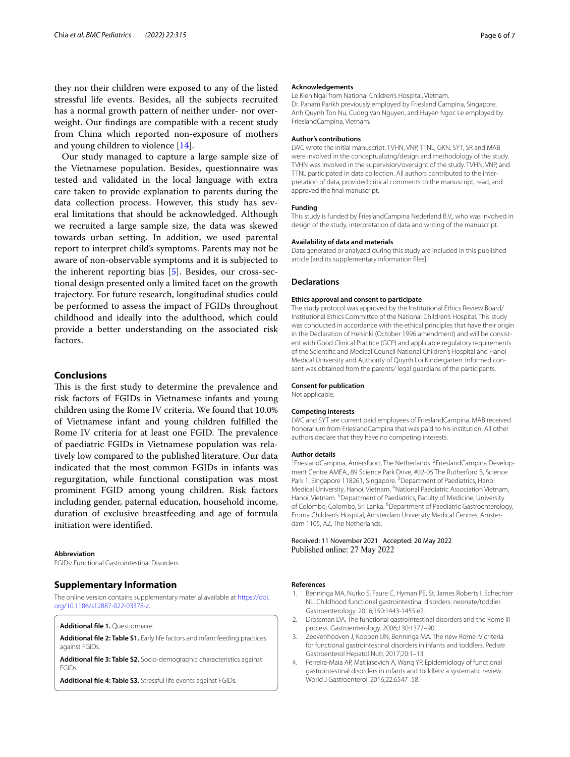they nor their children were exposed to any of the listed stressful life events. Besides, all the subjects recruited has a normal growth pattern of neither under- nor overweight. Our fndings are compatible with a recent study from China which reported non-exposure of mothers and young children to violence [[14](#page-6-8)].

Our study managed to capture a large sample size of the Vietnamese population. Besides, questionnaire was tested and validated in the local language with extra care taken to provide explanation to parents during the data collection process. However, this study has several limitations that should be acknowledged. Although we recruited a large sample size, the data was skewed towards urban setting. In addition, we used parental report to interpret child's symptoms. Parents may not be aware of non-observable symptoms and it is subjected to the inherent reporting bias [\[5](#page-6-0)]. Besides, our cross-sectional design presented only a limited facet on the growth trajectory. For future research, longitudinal studies could be performed to assess the impact of FGIDs throughout childhood and ideally into the adulthood, which could provide a better understanding on the associated risk factors.

#### **Conclusions**

This is the first study to determine the prevalence and risk factors of FGIDs in Vietnamese infants and young children using the Rome IV criteria. We found that 10.0% of Vietnamese infant and young children fulflled the Rome IV criteria for at least one FGID. The prevalence of paediatric FGIDs in Vietnamese population was relatively low compared to the published literature. Our data indicated that the most common FGIDs in infants was regurgitation, while functional constipation was most prominent FGID among young children. Risk factors including gender, paternal education, household income, duration of exclusive breastfeeding and age of formula initiation were identifed.

#### **Abbreviation**

FGIDs: Functional Gastrointestinal Disorders.

#### **Supplementary Information**

The online version contains supplementary material available at [https://doi.](https://doi.org/10.1186/s12887-022-03378-z) [org/10.1186/s12887-022-03378-z.](https://doi.org/10.1186/s12887-022-03378-z)

<span id="page-5-5"></span><span id="page-5-4"></span>**Additional fle 1.** Questionnaire.

<span id="page-5-6"></span>**Additional fle 2: Table S1.** Early life factors and infant feeding practices against FGIDs.

<span id="page-5-7"></span>**Additional fle 3: Table S2.** Socio-demographic characteristics against FGIDs.

**Additional fle 4: Table S3.** Stressful life events against FGIDs.

#### **Acknowledgements**

Le Kien Ngai from National Children's Hospital, Vietnam. Dr. Panam Parikh previously employed by Friesland Campina, Singapore. Anh Quynh Ton Nu, Cuong Van Nguyen, and Huyen Ngoc Le employed by FrieslandCampina, Vietnam.

#### **Author's contributions**

LWC wrote the initial manuscript. TVHN, VNP, TTNL, GKN, SYT, SR and MAB were involved in the conceptualizing/design and methodology of the study. TVHN was involved in the supervision/oversight of the study. TVHN, VNP, and TTNL participated in data collection. All authors contributed to the interpretation of data, provided critical comments to the manuscript, read, and approved the fnal manuscript.

#### **Funding**

This study is funded by FrieslandCampina Nederland B.V., who was involved in design of the study, interpretation of data and writing of the manuscript.

#### **Availability of data and materials**

Data generated or analyzed during this study are included in this published article [and its supplementary information fles].

#### **Declarations**

#### **Ethics approval and consent to participate**

The study protocol was approved by the Institutional Ethics Review Board/ Institutional Ethics Committee of the National Children's Hospital. This study was conducted in accordance with the ethical principles that have their origin in the Declaration of Helsinki (October 1996 amendment) and will be consistent with Good Clinical Practice (GCP) and applicable regulatory requirements of the Scientifc and Medical Council National Children's Hospital and Hanoi Medical University and Authority of Quynh Loi Kindergarten. Informed consent was obtained from the parents/ legal guardians of the participants.

#### **Consent for publication**

Not applicable.

#### **Competing interests**

LWC and SYT are current paid employees of FrieslandCampina. MAB received honorarium from FrieslandCampina that was paid to his institution. All other authors declare that they have no competing interests.

#### **Author details**

<sup>1</sup> FrieslandCampina, Amersfoort, The Netherlands. <sup>2</sup> FrieslandCampina Development Centre AMEA,, 89 Science Park Drive, #02-05 The Rutherford B, Science Park 1, Singapore 118261, Singapore.<sup>3</sup> Department of Paediatrics, Hanoi Medical University, Hanoi, Vietnam. 4 National Paediatric Association Vietnam, Hanoi, Vietnam. <sup>5</sup> Department of Paediatrics, Faculty of Medicine, University of Colombo, Colombo, Sri Lanka. <sup>6</sup> Department of Paediatric Gastroenterology, Emma Children's Hospital, Amsterdam University Medical Centres, Amsterdam 1105, AZ, The Netherlands.

#### Received: 11 November 2021 Accepted: 20 May 2022 Published online: 27 May 2022

#### **References**

- <span id="page-5-0"></span>Benninga MA, Nurko S, Faure C, Hyman PE, St. James Roberts I, Schechter NL. Childhood functional gastrointestinal disorders: neonate/toddler. Gastroenterology. 2016;150:1443-1455.e2.
- <span id="page-5-1"></span>2. Drossman DA. The functional gastrointestinal disorders and the Rome III process. Gastroenterology. 2006;130:1377–90.
- <span id="page-5-2"></span>3. Zeevenhooven J, Koppen IJN, Benninga MA. The new Rome IV criteria for functional gastrointestinal disorders in infants and toddlers. Pediatr Gastroenterol Hepatol Nutr. 2017;20:1–13.
- <span id="page-5-3"></span>4. Ferreira-Maia AP, Matijasevich A, Wang YP. Epidemiology of functional gastrointestinal disorders in infants and toddlers: a systematic review. World J Gastroenterol. 2016;22:6547–58.